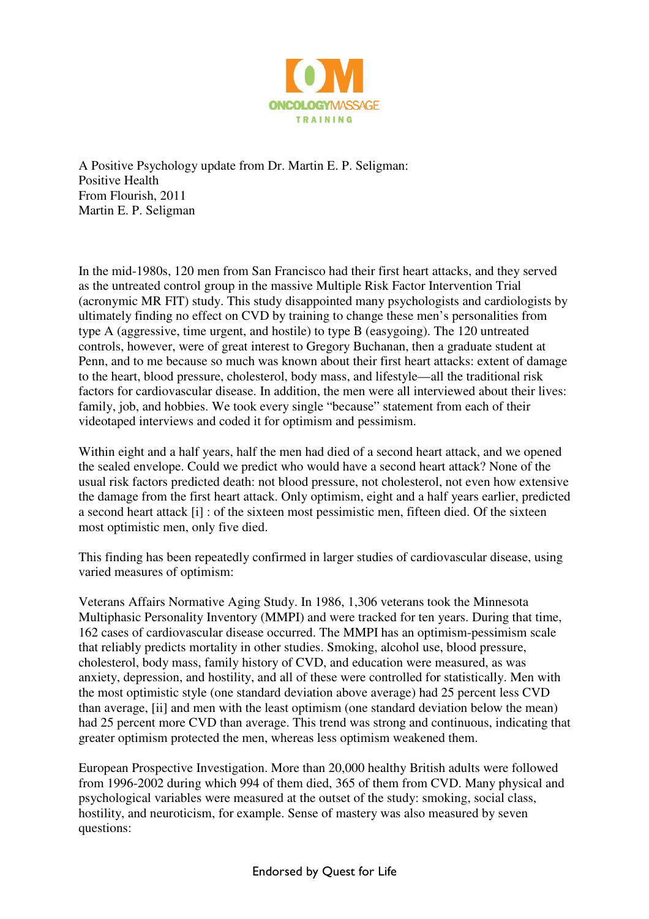

A Positive Psychology update from Dr. Martin E. P. Seligman: Positive Health From Flourish, 2011 Martin E. P. Seligman

In the mid-1980s, 120 men from San Francisco had their first heart attacks, and they served as the untreated control group in the massive Multiple Risk Factor Intervention Trial (acronymic MR FIT) study. This study disappointed many psychologists and cardiologists by ultimately finding no effect on CVD by training to change these men's personalities from type A (aggressive, time urgent, and hostile) to type B (easygoing). The 120 untreated controls, however, were of great interest to Gregory Buchanan, then a graduate student at Penn, and to me because so much was known about their first heart attacks: extent of damage to the heart, blood pressure, cholesterol, body mass, and lifestyle—all the traditional risk factors for cardiovascular disease. In addition, the men were all interviewed about their lives: family, job, and hobbies. We took every single "because" statement from each of their videotaped interviews and coded it for optimism and pessimism.

Within eight and a half years, half the men had died of a second heart attack, and we opened the sealed envelope. Could we predict who would have a second heart attack? None of the usual risk factors predicted death: not blood pressure, not cholesterol, not even how extensive the damage from the first heart attack. Only optimism, eight and a half years earlier, predicted a second heart attack [i] : of the sixteen most pessimistic men, fifteen died. Of the sixteen most optimistic men, only five died.

This finding has been repeatedly confirmed in larger studies of cardiovascular disease, using varied measures of optimism:

Veterans Affairs Normative Aging Study. In 1986, 1,306 veterans took the Minnesota Multiphasic Personality Inventory (MMPI) and were tracked for ten years. During that time, 162 cases of cardiovascular disease occurred. The MMPI has an optimism-pessimism scale that reliably predicts mortality in other studies. Smoking, alcohol use, blood pressure, cholesterol, body mass, family history of CVD, and education were measured, as was anxiety, depression, and hostility, and all of these were controlled for statistically. Men with the most optimistic style (one standard deviation above average) had 25 percent less CVD than average, [ii] and men with the least optimism (one standard deviation below the mean) had 25 percent more CVD than average. This trend was strong and continuous, indicating that greater optimism protected the men, whereas less optimism weakened them.

European Prospective Investigation. More than 20,000 healthy British adults were followed from 1996-2002 during which 994 of them died, 365 of them from CVD. Many physical and psychological variables were measured at the outset of the study: smoking, social class, hostility, and neuroticism, for example. Sense of mastery was also measured by seven questions: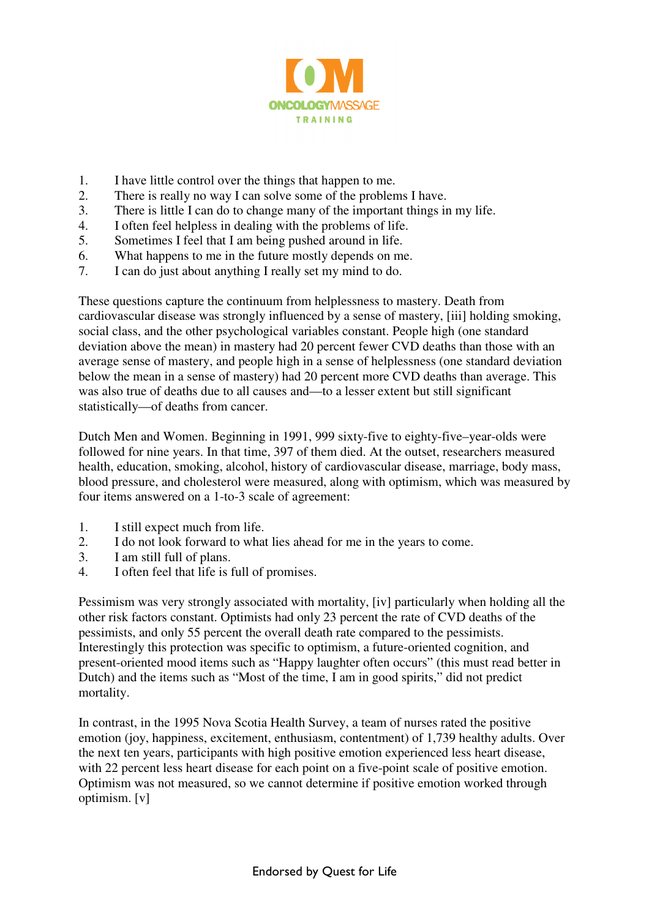

- 1. I have little control over the things that happen to me.
- 2. There is really no way I can solve some of the problems I have.
- 3. There is little I can do to change many of the important things in my life.
- 4. I often feel helpless in dealing with the problems of life.
- 5. Sometimes I feel that I am being pushed around in life.
- 6. What happens to me in the future mostly depends on me.
- 7. I can do just about anything I really set my mind to do.

These questions capture the continuum from helplessness to mastery. Death from cardiovascular disease was strongly influenced by a sense of mastery, [iii] holding smoking, social class, and the other psychological variables constant. People high (one standard deviation above the mean) in mastery had 20 percent fewer CVD deaths than those with an average sense of mastery, and people high in a sense of helplessness (one standard deviation below the mean in a sense of mastery) had 20 percent more CVD deaths than average. This was also true of deaths due to all causes and—to a lesser extent but still significant statistically—of deaths from cancer.

Dutch Men and Women. Beginning in 1991, 999 sixty-five to eighty-five–year-olds were followed for nine years. In that time, 397 of them died. At the outset, researchers measured health, education, smoking, alcohol, history of cardiovascular disease, marriage, body mass, blood pressure, and cholesterol were measured, along with optimism, which was measured by four items answered on a 1-to-3 scale of agreement:

- 1. I still expect much from life.
- 2. I do not look forward to what lies ahead for me in the years to come.
- 3. I am still full of plans.
- 4. I often feel that life is full of promises.

Pessimism was very strongly associated with mortality, [iv] particularly when holding all the other risk factors constant. Optimists had only 23 percent the rate of CVD deaths of the pessimists, and only 55 percent the overall death rate compared to the pessimists. Interestingly this protection was specific to optimism, a future-oriented cognition, and present-oriented mood items such as "Happy laughter often occurs" (this must read better in Dutch) and the items such as "Most of the time, I am in good spirits," did not predict mortality.

In contrast, in the 1995 Nova Scotia Health Survey, a team of nurses rated the positive emotion (joy, happiness, excitement, enthusiasm, contentment) of 1,739 healthy adults. Over the next ten years, participants with high positive emotion experienced less heart disease, with 22 percent less heart disease for each point on a five-point scale of positive emotion. Optimism was not measured, so we cannot determine if positive emotion worked through optimism. [v]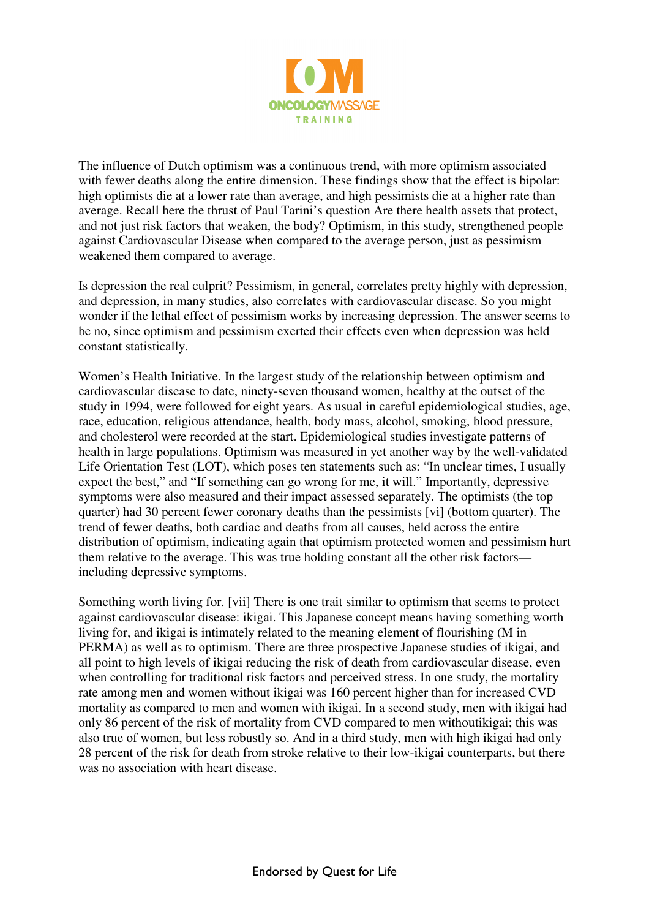

The influence of Dutch optimism was a continuous trend, with more optimism associated with fewer deaths along the entire dimension. These findings show that the effect is bipolar: high optimists die at a lower rate than average, and high pessimists die at a higher rate than average. Recall here the thrust of Paul Tarini's question Are there health assets that protect, and not just risk factors that weaken, the body? Optimism, in this study, strengthened people against Cardiovascular Disease when compared to the average person, just as pessimism weakened them compared to average.

Is depression the real culprit? Pessimism, in general, correlates pretty highly with depression, and depression, in many studies, also correlates with cardiovascular disease. So you might wonder if the lethal effect of pessimism works by increasing depression. The answer seems to be no, since optimism and pessimism exerted their effects even when depression was held constant statistically.

Women's Health Initiative. In the largest study of the relationship between optimism and cardiovascular disease to date, ninety-seven thousand women, healthy at the outset of the study in 1994, were followed for eight years. As usual in careful epidemiological studies, age, race, education, religious attendance, health, body mass, alcohol, smoking, blood pressure, and cholesterol were recorded at the start. Epidemiological studies investigate patterns of health in large populations. Optimism was measured in yet another way by the well-validated Life Orientation Test (LOT), which poses ten statements such as: "In unclear times, I usually expect the best," and "If something can go wrong for me, it will." Importantly, depressive symptoms were also measured and their impact assessed separately. The optimists (the top quarter) had 30 percent fewer coronary deaths than the pessimists [vi] (bottom quarter). The trend of fewer deaths, both cardiac and deaths from all causes, held across the entire distribution of optimism, indicating again that optimism protected women and pessimism hurt them relative to the average. This was true holding constant all the other risk factors including depressive symptoms.

Something worth living for. [vii] There is one trait similar to optimism that seems to protect against cardiovascular disease: ikigai. This Japanese concept means having something worth living for, and ikigai is intimately related to the meaning element of flourishing (M in PERMA) as well as to optimism. There are three prospective Japanese studies of ikigai, and all point to high levels of ikigai reducing the risk of death from cardiovascular disease, even when controlling for traditional risk factors and perceived stress. In one study, the mortality rate among men and women without ikigai was 160 percent higher than for increased CVD mortality as compared to men and women with ikigai. In a second study, men with ikigai had only 86 percent of the risk of mortality from CVD compared to men withoutikigai; this was also true of women, but less robustly so. And in a third study, men with high ikigai had only 28 percent of the risk for death from stroke relative to their low-ikigai counterparts, but there was no association with heart disease.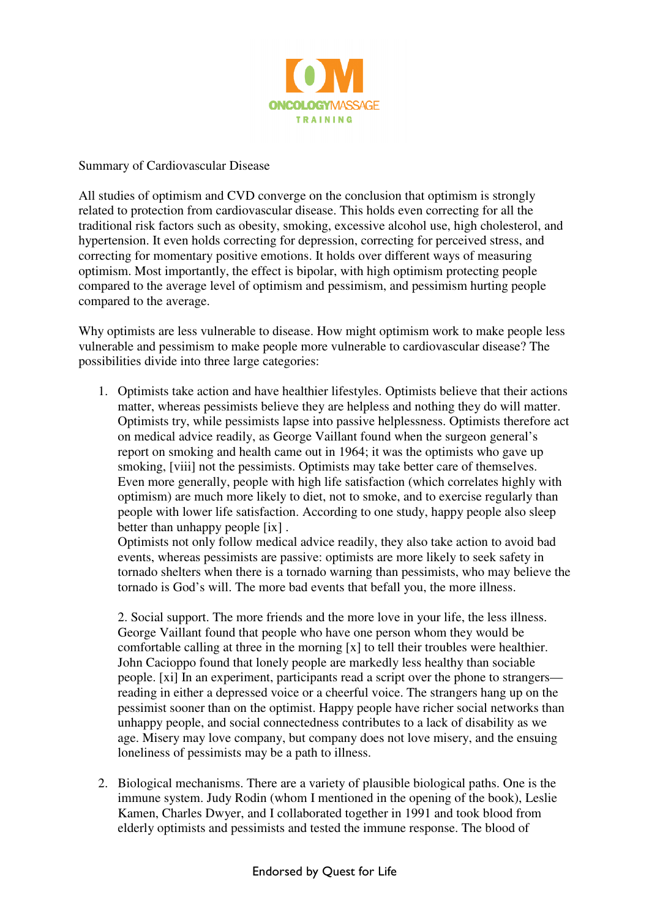

Summary of Cardiovascular Disease

All studies of optimism and CVD converge on the conclusion that optimism is strongly related to protection from cardiovascular disease. This holds even correcting for all the traditional risk factors such as obesity, smoking, excessive alcohol use, high cholesterol, and hypertension. It even holds correcting for depression, correcting for perceived stress, and correcting for momentary positive emotions. It holds over different ways of measuring optimism. Most importantly, the effect is bipolar, with high optimism protecting people compared to the average level of optimism and pessimism, and pessimism hurting people compared to the average.

Why optimists are less vulnerable to disease. How might optimism work to make people less vulnerable and pessimism to make people more vulnerable to cardiovascular disease? The possibilities divide into three large categories:

1. Optimists take action and have healthier lifestyles. Optimists believe that their actions matter, whereas pessimists believe they are helpless and nothing they do will matter. Optimists try, while pessimists lapse into passive helplessness. Optimists therefore act on medical advice readily, as George Vaillant found when the surgeon general's report on smoking and health came out in 1964; it was the optimists who gave up smoking, [viii] not the pessimists. Optimists may take better care of themselves. Even more generally, people with high life satisfaction (which correlates highly with optimism) are much more likely to diet, not to smoke, and to exercise regularly than people with lower life satisfaction. According to one study, happy people also sleep better than unhappy people [ix] .

Optimists not only follow medical advice readily, they also take action to avoid bad events, whereas pessimists are passive: optimists are more likely to seek safety in tornado shelters when there is a tornado warning than pessimists, who may believe the tornado is God's will. The more bad events that befall you, the more illness.

2. Social support. The more friends and the more love in your life, the less illness. George Vaillant found that people who have one person whom they would be comfortable calling at three in the morning [x] to tell their troubles were healthier. John Cacioppo found that lonely people are markedly less healthy than sociable people. [xi] In an experiment, participants read a script over the phone to strangers reading in either a depressed voice or a cheerful voice. The strangers hang up on the pessimist sooner than on the optimist. Happy people have richer social networks than unhappy people, and social connectedness contributes to a lack of disability as we age. Misery may love company, but company does not love misery, and the ensuing loneliness of pessimists may be a path to illness.

2. Biological mechanisms. There are a variety of plausible biological paths. One is the immune system. Judy Rodin (whom I mentioned in the opening of the book), Leslie Kamen, Charles Dwyer, and I collaborated together in 1991 and took blood from elderly optimists and pessimists and tested the immune response. The blood of